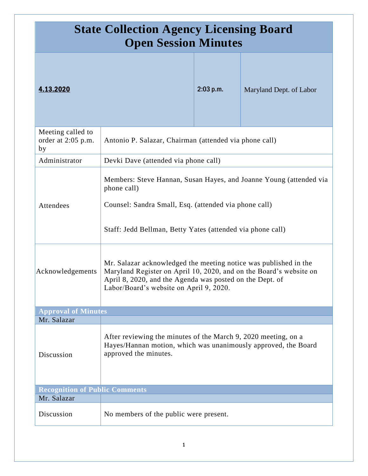| <b>State Collection Agency Licensing Board</b><br><b>Open Session Minutes</b> |                                                                                                                                                                                                                                               |           |                         |  |
|-------------------------------------------------------------------------------|-----------------------------------------------------------------------------------------------------------------------------------------------------------------------------------------------------------------------------------------------|-----------|-------------------------|--|
| 4.13.2020                                                                     |                                                                                                                                                                                                                                               | 2:03 p.m. | Maryland Dept. of Labor |  |
| Meeting called to<br>order at 2:05 p.m.<br>by                                 | Antonio P. Salazar, Chairman (attended via phone call)                                                                                                                                                                                        |           |                         |  |
| Administrator                                                                 | Devki Dave (attended via phone call)                                                                                                                                                                                                          |           |                         |  |
| Attendees                                                                     | Members: Steve Hannan, Susan Hayes, and Joanne Young (attended via<br>phone call)<br>Counsel: Sandra Small, Esq. (attended via phone call)<br>Staff: Jedd Bellman, Betty Yates (attended via phone call)                                      |           |                         |  |
| Acknowledgements                                                              | Mr. Salazar acknowledged the meeting notice was published in the<br>Maryland Register on April 10, 2020, and on the Board's website on<br>April 8, 2020, and the Agenda was posted on the Dept. of<br>Labor/Board's website on April 9, 2020. |           |                         |  |
| <b>Approval of Minutes</b>                                                    |                                                                                                                                                                                                                                               |           |                         |  |
| Mr. Salazar                                                                   |                                                                                                                                                                                                                                               |           |                         |  |
| Discussion                                                                    | After reviewing the minutes of the March 9, 2020 meeting, on a<br>Hayes/Hannan motion, which was unanimously approved, the Board<br>approved the minutes.                                                                                     |           |                         |  |
| <b>Recognition of Public Comments</b>                                         |                                                                                                                                                                                                                                               |           |                         |  |
| Mr. Salazar                                                                   |                                                                                                                                                                                                                                               |           |                         |  |
| Discussion                                                                    | No members of the public were present.                                                                                                                                                                                                        |           |                         |  |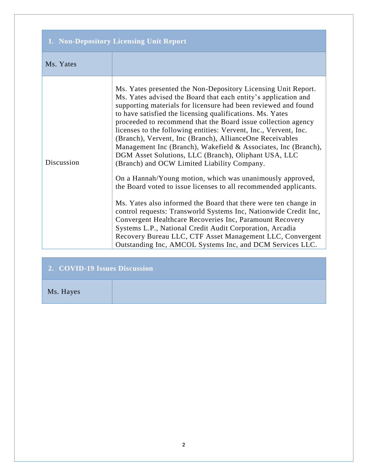## **1. Non-Depository Licensing Unit Report**

Discussion

Ms. Yates presented the Non-Depository Licensing Unit Report. Ms. Yates advised the Board that each entity's application and supporting materials for licensure had been reviewed and found to have satisfied the licensing qualifications. Ms. Yates proceeded to recommend that the Board issue collection agency licenses to the following entities: Vervent, Inc., Vervent, Inc. (Branch), Vervent, Inc (Branch), AllianceOne Receivables Management Inc (Branch), Wakefield & Associates, Inc (Branch), DGM Asset Solutions, LLC (Branch), Oliphant USA, LLC (Branch) and OCW Limited Liability Company.

On a Hannah/Young motion, which was unanimously approved, the Board voted to issue licenses to all recommended applicants.

Ms. Yates also informed the Board that there were ten change in control requests: Transworld Systems Inc, Nationwide Credit Inc, Convergent Healthcare Recoveries Inc, Paramount Recovery Systems L.P., National Credit Audit Corporation, Arcadia Recovery Bureau LLC, CTF Asset Management LLC, Convergent Outstanding Inc, AMCOL Systems Inc, and DCM Services LLC.

| 2. COVID-19 Issues Discussion |  |  |
|-------------------------------|--|--|
| Ms. Hayes                     |  |  |